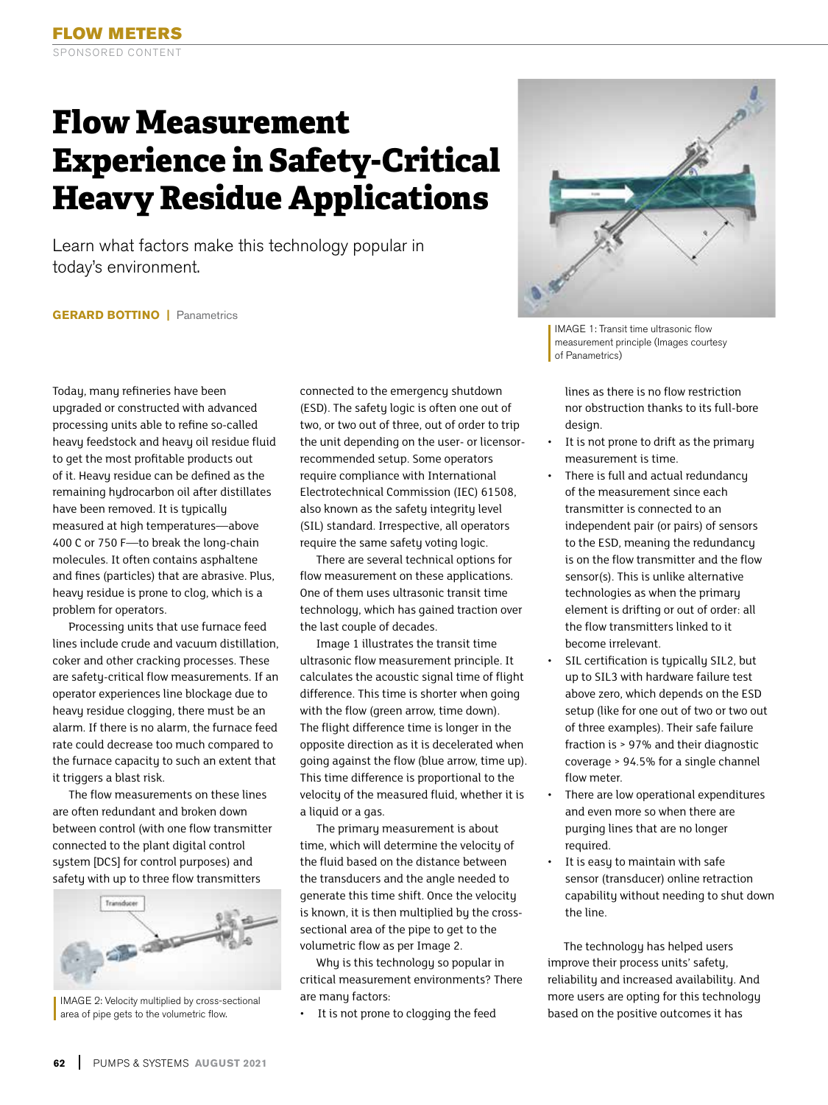## **Flow Measurement Experience in Safety-Critical Heavy Residue Applications**

Learn what factors make this technology popular in today's environment.

**GERARD BOTTINO | Panametrics** 

Today, many refineries have been upgraded or constructed with advanced processing units able to refine so-called heavy feedstock and heavy oil residue fluid to get the most profitable products out of it. Heavy residue can be defined as the remaining hydrocarbon oil after distillates have been removed. It is typically measured at high temperatures—above 400 C or 750 F—to break the long-chain molecules. It often contains asphaltene and fines (particles) that are abrasive. Plus, heavy residue is prone to clog, which is a problem for operators.

Processing units that use furnace feed lines include crude and vacuum distillation, coker and other cracking processes. These are safety-critical flow measurements. If an operator experiences line blockage due to heavy residue clogging, there must be an alarm. If there is no alarm, the furnace feed rate could decrease too much compared to the furnace capacity to such an extent that it triggers a blast risk.

The flow measurements on these lines are often redundant and broken down between control (with one flow transmitter connected to the plant digital control system [DCS] for control purposes) and safety with up to three flow transmitters



IMAGE 2: Velocity multiplied by cross-sectional area of pipe gets to the volumetric flow.

connected to the emergency shutdown (ESD). The safety logic is often one out of two, or two out of three, out of order to trip the unit depending on the user- or licensorrecommended setup. Some operators require compliance with International Electrotechnical Commission (IEC) 61508, also known as the safety integrity level (SIL) standard. Irrespective, all operators require the same safety voting logic.

There are several technical options for flow measurement on these applications. One of them uses ultrasonic transit time technology, which has gained traction over the last couple of decades.

Image 1 illustrates the transit time ultrasonic flow measurement principle. It calculates the acoustic signal time of flight difference. This time is shorter when going with the flow (green arrow, time down). The flight difference time is longer in the opposite direction as it is decelerated when going against the flow (blue arrow, time up). This time difference is proportional to the velocity of the measured fluid, whether it is a liquid or a gas.

The primary measurement is about time, which will determine the velocity of the fluid based on the distance between the transducers and the angle needed to generate this time shift. Once the velocity is known, it is then multiplied by the crosssectional area of the pipe to get to the volumetric flow as per Image 2.

Why is this technology so popular in critical measurement environments? There are many factors:

It is not prone to clogging the feed



IMAGE 1: Transit time ultrasonic flow measurement principle (Images courtesy of Panametrics)

lines as there is no flow restriction nor obstruction thanks to its full-bore design.

- It is not prone to drift as the primary measurement is time.
- There is full and actual redundancy of the measurement since each transmitter is connected to an independent pair (or pairs) of sensors to the ESD, meaning the redundancy is on the flow transmitter and the flow sensor(s). This is unlike alternative technologies as when the primary element is drifting or out of order: all the flow transmitters linked to it become irrelevant.
- SIL certification is typically SIL2, but up to SIL3 with hardware failure test above zero, which depends on the ESD setup (like for one out of two or two out of three examples). Their safe failure fraction is > 97% and their diagnostic coverage > 94.5% for a single channel flow meter.
- There are low operational expenditures and even more so when there are purging lines that are no longer required.
- It is easy to maintain with safe sensor (transducer) online retraction capability without needing to shut down the line.

The technology has helped users improve their process units' safety, reliability and increased availability. And more users are opting for this technology based on the positive outcomes it has